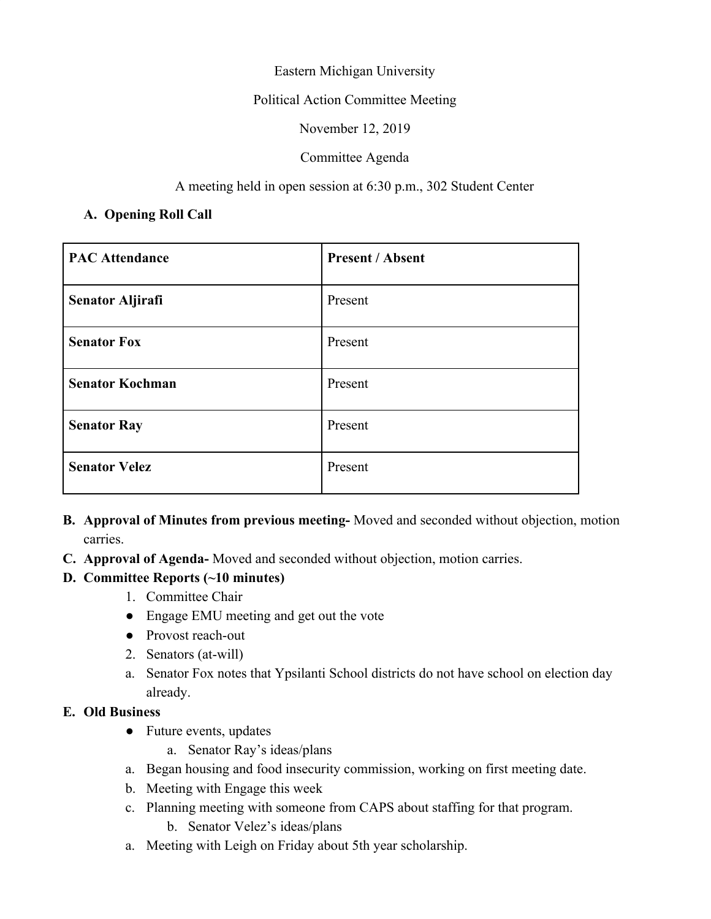## Eastern Michigan University

## Political Action Committee Meeting

November 12, 2019

## Committee Agenda

## A meeting held in open session at 6:30 p.m., 302 Student Center

## **A. Opening Roll Call**

| <b>PAC Attendance</b>   | <b>Present / Absent</b> |
|-------------------------|-------------------------|
| <b>Senator Aljirafi</b> | Present                 |
| <b>Senator Fox</b>      | Present                 |
| <b>Senator Kochman</b>  | Present                 |
| <b>Senator Ray</b>      | Present                 |
| <b>Senator Velez</b>    | Present                 |

- **B. Approval of Minutes from previous meeting-** Moved and seconded without objection, motion carries.
- **C. Approval of Agenda-** Moved and seconded without objection, motion carries.

# **D. Committee Reports (~10 minutes)**

- 1. Committee Chair
- Engage EMU meeting and get out the vote
- Provost reach-out
- 2. Senators (at-will)
- a. Senator Fox notes that Ypsilanti School districts do not have school on election day already.

#### **E. Old Business**

- Future events, updates
	- a. Senator Ray's ideas/plans
- a. Began housing and food insecurity commission, working on first meeting date.
- b. Meeting with Engage this week
- c. Planning meeting with someone from CAPS about staffing for that program.
	- b. Senator Velez's ideas/plans
- a. Meeting with Leigh on Friday about 5th year scholarship.